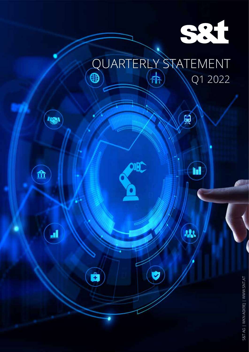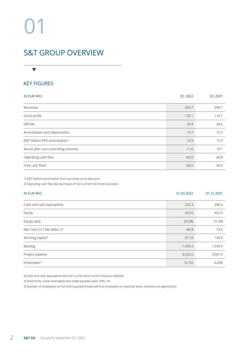# 01

## S&T GROUP OVERVIEW

## KEY FIGURES

 $\blacktriangledown$ 

| IN EUR MIO.                                | Q1 2022 | Q1 2021 |
|--------------------------------------------|---------|---------|
| Revenues                                   | 329.7   | 294.1   |
| Gross profit                               | 120.1   | 116.1   |
| <b>EBITDA</b>                              | 29.4    | 28.2    |
| Amortisation and depreciation              | 14.7    | 15.5    |
| EBIT before PPA amortisation <sup>1)</sup> | 16.9    | 15.3    |
| Result after non-controlling interests     | 11.6    | 10.1    |
| Operating cash flow                        | $-60.0$ | $-26.8$ |
| Free cash flow <sup>2)</sup>               | $-68.5$ | $-36.3$ |

1) EBIT before amortisation from purchase price allocation

2) Operating cash flow less purchase of non-current non-financial assets

| IN EUR MIO.                         | 31.03.2022 | 31.12.2021 |
|-------------------------------------|------------|------------|
| Cash and cash equivalents           | 224.3      | 296.5      |
| Equity                              | 433.0      | 423.3      |
| Equity ratio                        | 33.4%      | 31.3%      |
| Net Cash $(+)$ / Net debt $(-)^{3}$ | $-85.8$    | $-14.2$    |
| Working capital <sup>4)</sup>       | 217.8      | 149.9      |
| <b>Backlog</b>                      | 1,439.2    | 1,334.9    |
| Project-pipeline                    | 3,332.0    | 3,367.0    |
| Employees <sup>5)</sup>             | 6,152      | 6,206      |

3) Cash and cash equivalents less non-current and current financial liabilities

4) Inventories, trade receivables less trade payables (excl. IFRS 15)

5) Number of employees on full time equivalent basis without employees on parental leave, trainees and apprentices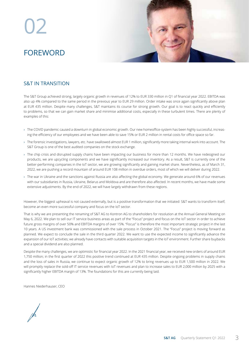# 02 FOREWORD



## S&T IN TRANSITION

The S&T Group achieved strong, largely organic growth in revenues of 12% to EUR 330 million in Q1 of financial year 2022. EBITDA was also up 4% compared to the same period in the previous year to EUR 29 million. Order intake was once again significantly above plan at EUR 435 million. Despite many challenges, S&T maintains its course for strong growth. Our goal is to react quickly and efficiently to problems, so that we can gain market share and minimise additional costs, especially in these turbulent times. There are plenty of examples of this:

- › The COVID pandemic caused a downturn in global economic growth. Our new homeoffice-system has been highly successful, increasing the efficiency of our employees and we have been able to save 15% or EUR 2 million in rental costs for office space so far.
- › The forensic investigations, lawyers, etc. have swallowed almost EUR 1 million, significantly more taking internal work into account. The S&T Group is one of the best audited companies on the stock exchange.
- › The chip crisis and disrupted supply chains have been impacting our business for more than 12 months. We have redesigned our products, we are upcycling components and we have significantly increased our inventory. As a result, S&T is currently one of the better-performing companies in the IoT sector, we are growing significantly and gaining market share. Nevertheless, as of March 31, 2022, we are pushing a record mountain of around EUR 108 million in overdue orders, most of which we will deliver during 2022.
- › The war in Ukraine and the sanctions against Russia are also affecting the global economy. We generate around 6% of our revenues with our subsidiaries in Russia, Ukraine, Belarus and Moldova and are therefore also affected. In recent months, we have made some extensive adjustments. By the end of 2022, we will have largely withdrawn from these regions.

However, the biggest upheaval is not caused externally, but is a positive transformation that we initiated: S&T wants to transform itself, become an even more successful company and focus on the IoT sector.

That is why we are presenting the renaming of S&T AG to Kontron AG to shareholders for resolution at the Annual General Meeting on May 6, 2022. We plan to sell our IT service business areas as part of the "Focus" project and focus on the IoT sector in order to achieve future gross margins of over 50% and EBITDA margins of over 15%. "Focus" is therefore the most important strategic project in the last 10 years. A US investment bank was commissioned with the sale process in October 2021. The "Focus" project is moving forward as planned. We expect to conclude the sale in the third quarter 2022. We want to use the expected income to significantly advance the expansion of our IoT activities; we already have contacts with suitable acquisition targets in the IoT environment. Further share buybacks and a special dividend are also planned.

Despite the many challenges, we are optimistic for financial year 2022. In the 2021 financial year, we received new orders of around EUR 1,750 million; in the first quarter of 2022 this positive trend continued at EUR 435 million. Despite ongoing problems in supply chains and the loss of sales in Russia, we continue to expect organic growth of 12% to bring revenues up to EUR 1,500 million in 2022. We will promptly replace the sold-off IT service revenues with IoT revenues and plan to increase sales to EUR 2,000 million by 2025 with a significantly higher EBITDA margin of 13%. The foundations for this are currently being laid.

Hannes Niederhauser, CEO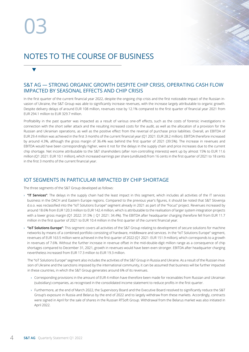$\blacktriangledown$ 

# NOTES TO THE COURSE OF BUSINESS

### S&T AG — STRONG ORGANIC GROWTH DESPITE CHIP CRISIS, OPERATING CASH FLOW IMPACTED BY SEASONAL EFFECTS AND CHIP CRISIS

In the first quarter of the current financial year 2022, despite the ongoing chip crisis and the first noticeable impact of the Russian invasion of Ukraine, the S&T Group was able to significantly increase revenues, with the increase largely attributable to organic growth. Despite delivery delays of around EUR 108 million, revenues rose by 12.1% compared to the first quarter of financial year 2021 from EUR 294.1 million to EUR 329.7 million.

Profitability in the past quarter was impacted as a result of various one-off effects, such as the costs of forensic investigations in connection with the short seller attack and the resulting increased costs for the audit, as well as the allocation of a provision for the Russian and Ukrainian operations, as well as the positive effect from the reversal of purchase price liabilities. Overall, an EBITDA of EUR 29.4 million was achieved in the first 3 months of the current financial year (Q1 2021: EUR 28.2 million). EBITDA therefore increased by around 4.3%, although the gross margin of 36.4% was behind the first quarter of 2021 (39.5%). The increase in revenues and EBITDA would have been correspondingly higher, were it not for the delays in the supply chain and price increases due to the current chip shortage. Net income attributable to the S&T shareholders (after non-controlling interests) went up by almost 15% to EUR 11.6 million (Q1 2021: EUR 10.1 million), which increased earnings per share (undiluted) from 16 cents in the first quarter of 2021 to 18 cents in the first 3 months of the current financial year.

## IOT SEGMENTS IN PARTICULAR IMPACTED BY CHIP SHORTAGE

The three segments of the S&T Group developed as follows:

- › **"IT Services"**: The delays in the supply chain had the least impact in this segment, which includes all activities of the IT services business in the DACH and Eastern Europe regions. Compared to the previous year's figures, it should be noted that S&T Slovenija d.o.o. was reclassified into the "IoT Solutions Europe" segment already in 2021 as part of the "Focus" project. Revenues increased by around 18.6% from EUR 120.3 million to EUR 142.4 million, which is attributable to the realisation of larger system integration projects with a lower gross margin (Q1 2022: 31.5% | Q1 2021: 34.4%). The EBITDA after headquarter charging therefore fell from EUR 11.7 million in the first quarter of 2021 to EUR 10.4 million in the first quarter of the current financial year.
- › **"IoT Solutions Europe"**: This segment covers all activities of the S&T Group relating to development of secure solutions for machine networks by means of a combined portfolio consisting of hardware, middleware and services. In the "IoT Solutions Europe" segment, revenues of EUR 163.5 million were achieved in the first quarter of 2022 (Q1 2021: EUR 151.9 million), which corresponds to a growth in revenues of 7.6%. Without the further increase in revenue offset in the mid-double-digit million range as a consequence of chip shortages compared to December 31, 2021, growth in revenues would have been even stronger. EBITDA after headquarter charging nevertheless increased from EUR 17.3 million to EUR 19.3 million.

 The "IoT Solutions Europe" segment also includes the activities of the S&T Group in Russia and Ukraine. As a result of the Russian invasion of Ukraine and the sanctions imposed by the international community, it can be assumed that business will be further impacted in these countries, in which the S&T Group generates around 6% of its revenues.

- › Corresponding provisions in the amount of EUR 4 million have therefore been made for receivables from Russian and Ukrainian (subsidiary) companies, as recognised in the consolidated income statement to reduce profits in the first quarter.
- › Furthermore, at the end of March 2022, the Supervisory Board and the Executive Board resolved to significantly reduce the S&T Group's exposure in Russia and Belarus by the end of 2022 and to largely withdraw from these markets. Accordingly, contracts were signed in April for the sale of shares in the Russian RTSoft Group. Withdrawal from the Belarus market was also initiated in April 2022.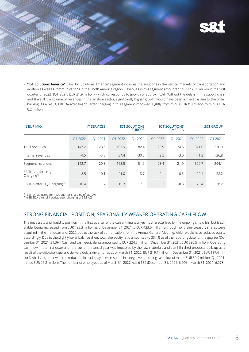

› **"IoT Solutions America"**: The "IoT Solutions America" segment includes the solutions in the vertical markets of transportation and aviation as well as communications in the North America region. Revenues in this segment amounted to EUR 23.5 million in the first quarter of 2022 (Q1 2021: EUR 21.9 million), which corresponds to growth of approx. 7.3%. Without the delays in the supply chain and the still low volume of revenues in the aviation sector, significantly higher growth would have been achievable due to the order backlog. As a result, EBITDA after headquarter charging in this segment improved slightly from minus EUR 0.8 million to minus EUR 0.2 million.

| IN EUR MIO.                     |         | <b>IT SERVICES</b> |         | <b>IOT SOLUTIONS</b><br><b>EUROPE</b> |         | <b>IOT SOLUTIONS</b><br><b>AMERICA</b> |         | <b>S&amp;T GROUP</b> |
|---------------------------------|---------|--------------------|---------|---------------------------------------|---------|----------------------------------------|---------|----------------------|
|                                 | O1 2022 | O1 2021            | O1 2022 | O1 2021                               | O1 2022 | O1 2021                                | O1 2022 | O1 2021              |
| Total revenues                  | 147.2   | 123.6              | 197.9   | 182.4                                 | 25.9    | 24.8                                   | 371.0   | 330.9                |
| Internal revenues               | $-4.5$  | $-3.3$             | $-34.4$ | $-30.5$                               | $-2.5$  | $-3.0$                                 | $-41.3$ | $-36.8$              |
| Segment revenues                | 142.7   | 120.3              | 163.5   | 151.9                                 | 23.4    | 21.9                                   | 329.7   | 294.1                |
| EBITDA before HO-<br>Charging*) | 8.5     | 10.1               | 21.0    | 18.7                                  | $-0.1$  | $-0.5$                                 | 29.4    | 28.2                 |
| EBITDA after HQ-Charging**)     | 10.4    | 11.7               | 19.3    | 17.3                                  | $-0.2$  | $-0.8$                                 | 29.4    | 28.2                 |

\*) EBITDA adjusted for headquarter charging of S&T AG \*\*) EBITDA after all headquarter charging of S&T AG

#### STRONG FINANCIAL POSITION, SEASONALLY WEAKER OPERATING CASH FLOW

The net assets and liquidity position in the first quarter of the current financial year is characterised by the ongoing chip crisis, but is still stable. Equity increased from EUR 423.3 million as of December 31, 2021 to EUR 433.0 million, although no further treasury shares were acquired in the first quarter of 2022 due to the lack of authorisation from the Annual General Meeting, which would have reduced equity accordingly. Due to the slightly lower balance sheet total, the equity ratio amounted to 33.4% as of the reporting date for the quarter (December 31, 2021: 31.3%). Cash and cash equivalents amounted to EUR 224.3 million (December 31, 2021: EUR 296.5 million). Operating cash flow in the first quarter of the current financial year was impacted by the raw materials and semi-finished products built up as a result of the chip shortage and delivery delays (inventories as of March 31, 2022: EUR 219.1 million | December 31, 2021: EUR 187.4 million), which, together with the reduction in trade payables, resulted in a negative operating cash flow of minus EUR 59.9 million (Q1 2021: minus EUR 26.8 million). The number of employees as of March 31, 2022 was 6,152 (December 31, 2021: 6,206 | March 31, 2021: 6,078).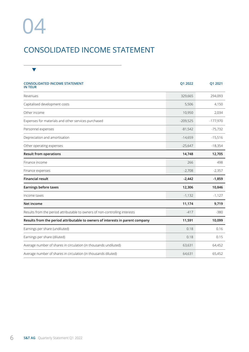# 04

## CONSOLIDATED INCOME STATEMENT

| <b>CONSOLIDATED INCOME STATEMENT</b><br>IN TEUR                               | Q1 2022    | Q1 2021    |
|-------------------------------------------------------------------------------|------------|------------|
| Revenues                                                                      | 329,665    | 294,093    |
| Capitalised development costs                                                 | 5,506      | 4,150      |
| Other income                                                                  | 10,950     | 2,034      |
| Expenses for materials and other services purchased                           | $-209,525$ | $-177,970$ |
| Personnel expenses                                                            | $-81,542$  | $-75,732$  |
| Depreciation and amortisation                                                 | $-14,659$  | $-15,516$  |
| Other operating expenses                                                      | $-25,647$  | $-18,354$  |
| <b>Result from operations</b>                                                 | 14,748     | 12,705     |
| Finance income                                                                | 266        | 498        |
| Finance expenses                                                              | $-2,708$   | $-2,357$   |
| <b>Financial result</b>                                                       | $-2,442$   | $-1,859$   |
| <b>Earnings before taxes</b>                                                  | 12,306     | 10,846     |
| Income taxes                                                                  | $-1,132$   | $-1,127$   |
| Net income                                                                    | 11,174     | 9,719      |
| Results from the period attributable to owners of non-controlling interests   | $-417$     | $-380$     |
| Results from the period attributable to owners of interests in parent company | 11,591     | 10,099     |
| Earnings per share (undiluted)                                                | 0.18       | 0.16       |
| Earnings per share (diluted)                                                  | 0.18       | 0.15       |
| Average number of shares in circulation (in thousands undiluted)              | 63,631     | 64,452     |
| Average number of shares in circulation (in thousands diluted)                | 64,631     | 65,452     |

 $\overline{\phantom{a}}$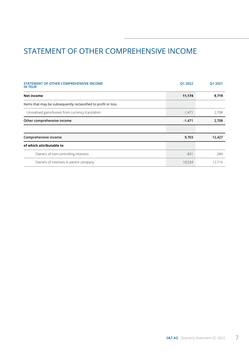# STATEMENT OF OTHER COMPREHENSIVE INCOME

| STATEMENT OF OTHER COMPREHENSIVE INCOME<br><b>IN TEUR</b>     | Q1 2022  | Q1 2021 |
|---------------------------------------------------------------|----------|---------|
| Net income                                                    | 11,174   | 9,719   |
| Items that may be subsequently reclassified to profit or loss |          |         |
| Unrealised gains/losses from currency translation             | $-1,471$ | 2,708   |
| Other comprehensive income                                    | $-1,471$ | 2,708   |
|                                                               |          |         |
| Comprehensive income                                          | 9,703    | 12,427  |
| of which attributable to                                      |          |         |
| Owners of non-controlling interests                           | $-831$   | $-289$  |
| Owners of interests in parent company                         | 10,534   | 12.716  |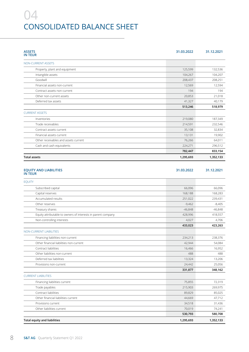# 04 CONSOLIDATED BALANCE SHEET

| <b>ASSETS</b><br>IN TEUR                                     | 31.03.2022 | 31.12.2021 |
|--------------------------------------------------------------|------------|------------|
| NON-CURRENT ASSETS                                           |            |            |
| Property, plant and equipment                                | 125,599    | 132,536    |
| Intangible assets                                            | 104,267    | 104,207    |
| Goodwill                                                     | 208,437    | 208,251    |
| Financial assets non-current                                 | 12,569     | 12,594     |
| Contract assets non-current                                  | 194        | 194        |
| Other non-current assets                                     | 20,853     | 21,018     |
| Deferred tax assets                                          | 41,327     | 40,179     |
|                                                              | 513,246    | 518,979    |
| <b>CURRENT ASSETS</b>                                        |            |            |
| Inventories                                                  | 219,080    | 187,349    |
| Trade receivables                                            | 214,591    | 232,546    |
| Contract assets current                                      | 35,108     | 32.834     |
| Financial assets current                                     | 13,131     | 19,902     |
| Other receivables and assets current                         | 76,266     | 64,011     |
| Cash and cash equivalents                                    | 224,271    | 296,512    |
|                                                              | 782,447    | 833,154    |
| <b>Total assets</b>                                          | 1,295,693  | 1,352,133  |
| EQUITY AND LIABILITIES<br>IN TEUR<br><b>EQUITY</b>           |            |            |
| Subscribed capital                                           | 66,096     | 66,096     |
| Capital reserves                                             | 168,188    | 168,283    |
| Accumulated results                                          | 251,022    | 239,431    |
| Other reserves                                               | $-9,462$   | $-8,405$   |
| Treasury shares                                              | $-46,848$  | $-46,848$  |
| Equity attributable to owners of interests in parent company | 428,996    | 418,557    |
| Non-controlling interests                                    | 4,027      | 4,706      |
|                                                              | 433,023    | 423,263    |
| <b>NON-CURRENT LIABILITIES</b>                               |            |            |
| Financing liabilities non-current                            | 234,213    | 238,376    |
| Other financial liabilities non-current                      | 42,944     | 54,084     |
| Contract liabilities                                         | 16,466     | 16,952     |
| Other liabilities non-current                                | 488        | 488        |
| Deferred tax liabilities                                     | 13,324     | 13,206     |
| Provisions non-current                                       | 24,442     | 25,056     |
|                                                              | 331,877    | 348,162    |
| <b>CURRENT LIABILITIES</b>                                   |            |            |
| Financing liabilities current                                | 75,855     | 72,319     |
| Trade payables                                               | 215,903    | 269,975    |
| Contract liabilities                                         | 89,829     | 85,025     |
| Other financial liabilities current                          | 44,669     | 47,712     |
| Provisions current                                           | 34,518     | 31,436     |
| Other liabilities current                                    | 70,019     | 74,241     |
|                                                              | 530,793    | 580,708    |

**Total equity and liabilities 1,295,693 1,352,133**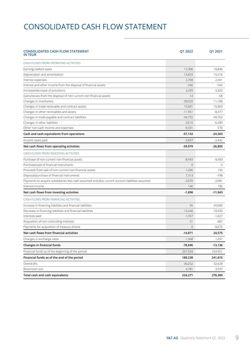## CONSOLIDATED CASH FLOW STATEMENT

| <b>CONSOLIDATED CASH FLOW STATEMENT</b><br>IN TEUR                                              | Q1 2022        | Q1 2021   |
|-------------------------------------------------------------------------------------------------|----------------|-----------|
| CASH FLOWS FROM OPERATING ACTIVITIES                                                            |                |           |
| Earnings before taxes                                                                           | 12,306         | 10,846    |
| Depreciation and amortisation                                                                   | 14,659         | 15,516    |
| Interest expenses                                                                               | 2,708          | 2,401     |
| Interest and other income from the disposal of financial assets                                 | $-266$         | $-542$    |
| Increase/decrease of provisions                                                                 | 2,439          | $-3,342$  |
| Gains/losses from the disposal of non-current non-financial assets                              | 14             | $-58$     |
| Changes in inventories                                                                          | $-30,020$      | $-11,188$ |
| Changes in trade receivable and contract assets                                                 | 15,681         | 16,963    |
| Changes in other receivables and assets                                                         | $-11,951$      | $-8,477$  |
| Changes in trade payable and contract liabilities                                               | $-49,755$      | $-40,763$ |
| Changes in other liabilities                                                                    | $-3,616$       | $-6,289$  |
| Other non-cash income and expenses                                                              | $-9,331$       | 570       |
| Cash and cash equivalents from operations                                                       | $-57,132$      | $-24,363$ |
| Income taxes paid                                                                               | $-2,847$       | $-2,442$  |
| Net cash flows from operating activities                                                        | -59,979        | $-26,805$ |
| CASH FLOWS FROM INVESTING ACTIVITIES                                                            |                |           |
| Purchase of non-current non-financial assets                                                    | $-8,493$       | $-9,450$  |
| Purchase/sale of financial instruments                                                          | $\overline{0}$ | -4        |
| Proceeds from sale of non-current non-financial assets                                          | 1,206          | 194       |
| Disposal/purchase of financial instruments                                                      | 7,313          | -798      |
| Payments to acquire subsidiaries less cash assumed and plus current account liabilities assumed | $-2,070$       | $-2,081$  |
| Interest income                                                                                 | 146            | 196       |
| Net cash flows from investing activities                                                        | $-1,898$       | $-11,943$ |
| CASH FLOWS FROM FINANCING ACTIVITIES                                                            |                |           |
| Increase in financing liabilities and financial liabilities                                     | 95             | 45,000    |
| Decrease in financing liabilities and financial liabilities                                     | $-13,440$      | $-10,036$ |
| Interests paid                                                                                  | $-1,557$       | $-1,027$  |
| Acquisition of non-controlling interests                                                        | 31             | -687      |
| Payments for acquisition of treasury shares                                                     | $\Omega$       | $-8,675$  |
| Net cash flows from financial activities                                                        | $-14,871$      | 24,575    |
| Changes in exchange rates                                                                       | $-1,948$       | 1,037     |
| Changes in financial funds                                                                      | $-78,696$      | $-13,136$ |
| Financial funds as of the beginning of the period                                               | 267,934        | 254,951   |
| Financial funds as of the end of the period                                                     | 189,238        | 241,815   |
| Overdrafts                                                                                      | 30,252         | 32,628    |
| Restricted cash                                                                                 | 4,781          | 3,937     |
| Total cash and cash equivalents                                                                 | 224,271        | 278,380   |